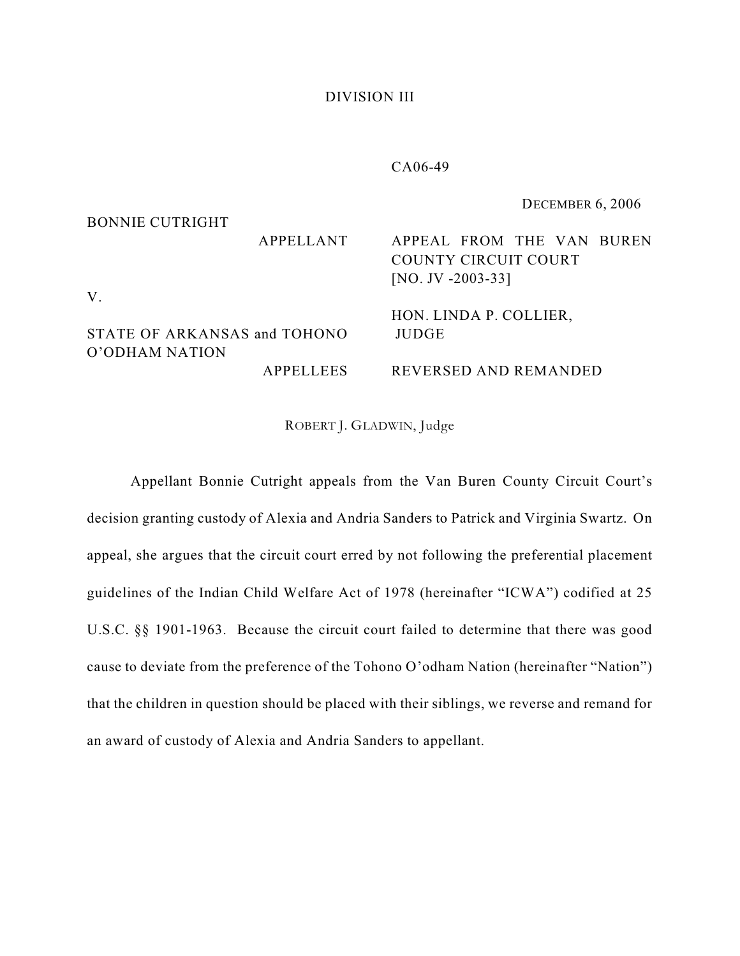## DIVISION III

## CA06-49

BONNIE CUTRIGHT APPELLANT STATE OF ARKANSAS and TOHONO O'ODHAM NATION APPELLEES DECEMBER 6, 2006 APPEAL FROM THE VAN BUREN COUNTY CIRCUIT COURT [NO. JV -2003-33] HON. LINDA P. COLLIER, JUDGE REVERSED AND REMANDED

V.

ROBERT J. GLADWIN, Judge

Appellant Bonnie Cutright appeals from the Van Buren County Circuit Court's decision granting custody of Alexia and Andria Sanders to Patrick and Virginia Swartz. On appeal, she argues that the circuit court erred by not following the preferential placement guidelines of the Indian Child Welfare Act of 1978 (hereinafter "ICWA") codified at 25 U.S.C. §§ 1901-1963. Because the circuit court failed to determine that there was good cause to deviate from the preference of the Tohono O'odham Nation (hereinafter "Nation") that the children in question should be placed with their siblings, we reverse and remand for an award of custody of Alexia and Andria Sanders to appellant.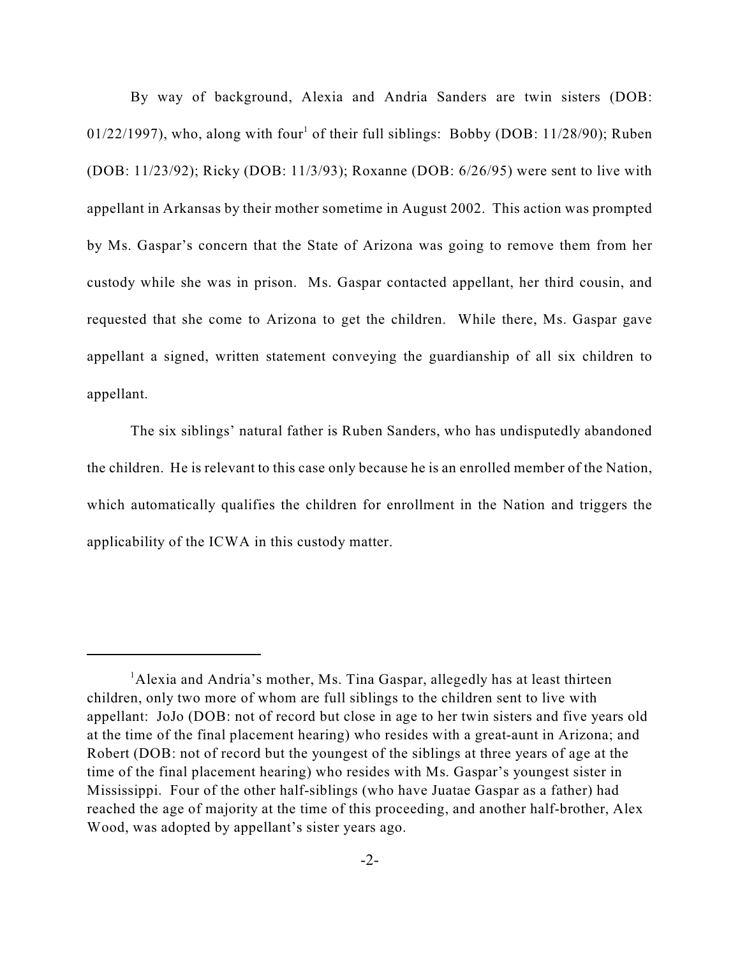By way of background, Alexia and Andria Sanders are twin sisters (DOB: 01/22/1997), who, along with four<sup>1</sup> of their full siblings: Bobby (DOB:  $11/28/90$ ); Ruben (DOB: 11/23/92); Ricky (DOB: 11/3/93); Roxanne (DOB: 6/26/95) were sent to live with appellant in Arkansas by their mother sometime in August 2002. This action was prompted by Ms. Gaspar's concern that the State of Arizona was going to remove them from her custody while she was in prison. Ms. Gaspar contacted appellant, her third cousin, and requested that she come to Arizona to get the children. While there, Ms. Gaspar gave appellant a signed, written statement conveying the guardianship of all six children to appellant.

The six siblings' natural father is Ruben Sanders, who has undisputedly abandoned the children. He is relevant to this case only because he is an enrolled member of the Nation, which automatically qualifies the children for enrollment in the Nation and triggers the applicability of the ICWA in this custody matter.

 ${}^{1}$ Alexia and Andria's mother, Ms. Tina Gaspar, allegedly has at least thirteen children, only two more of whom are full siblings to the children sent to live with appellant: JoJo (DOB: not of record but close in age to her twin sisters and five years old at the time of the final placement hearing) who resides with a great-aunt in Arizona; and Robert (DOB: not of record but the youngest of the siblings at three years of age at the time of the final placement hearing) who resides with Ms. Gaspar's youngest sister in Mississippi. Four of the other half-siblings (who have Juatae Gaspar as a father) had reached the age of majority at the time of this proceeding, and another half-brother, Alex Wood, was adopted by appellant's sister years ago.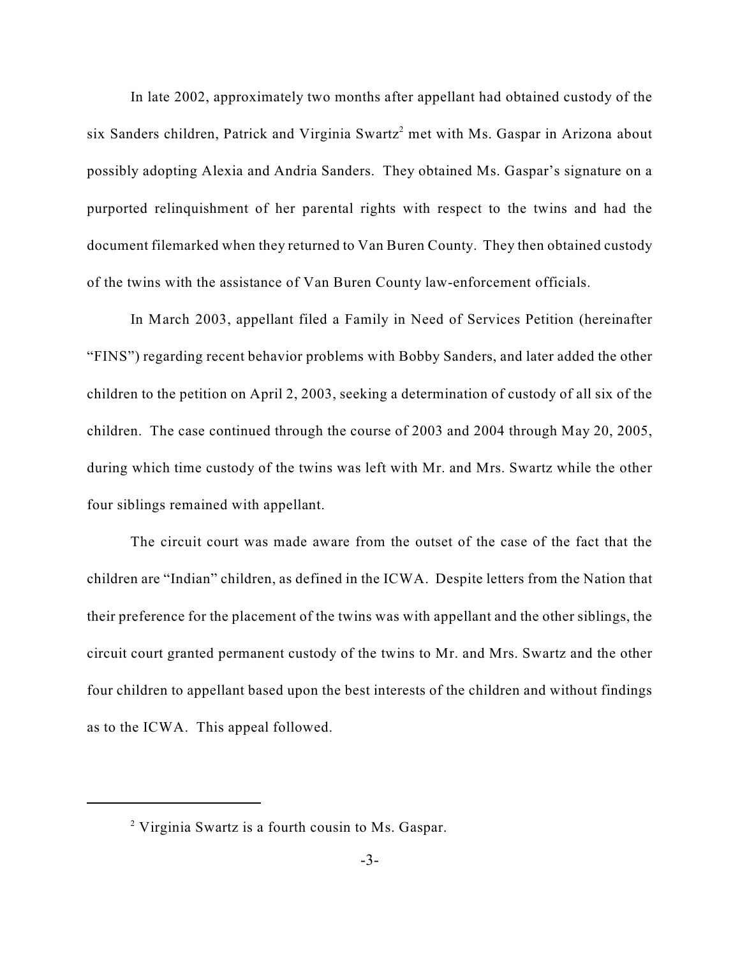In late 2002, approximately two months after appellant had obtained custody of the six Sanders children, Patrick and Virginia Swartz<sup>2</sup> met with Ms. Gaspar in Arizona about possibly adopting Alexia and Andria Sanders. They obtained Ms. Gaspar's signature on a purported relinquishment of her parental rights with respect to the twins and had the document filemarked when they returned to Van Buren County. They then obtained custody of the twins with the assistance of Van Buren County law-enforcement officials.

In March 2003, appellant filed a Family in Need of Services Petition (hereinafter "FINS") regarding recent behavior problems with Bobby Sanders, and later added the other children to the petition on April 2, 2003, seeking a determination of custody of all six of the children. The case continued through the course of 2003 and 2004 through May 20, 2005, during which time custody of the twins was left with Mr. and Mrs. Swartz while the other four siblings remained with appellant.

The circuit court was made aware from the outset of the case of the fact that the children are "Indian" children, as defined in the ICWA. Despite letters from the Nation that their preference for the placement of the twins was with appellant and the other siblings, the circuit court granted permanent custody of the twins to Mr. and Mrs. Swartz and the other four children to appellant based upon the best interests of the children and without findings as to the ICWA. This appeal followed.

 $\degree$  Virginia Swartz is a fourth cousin to Ms. Gaspar.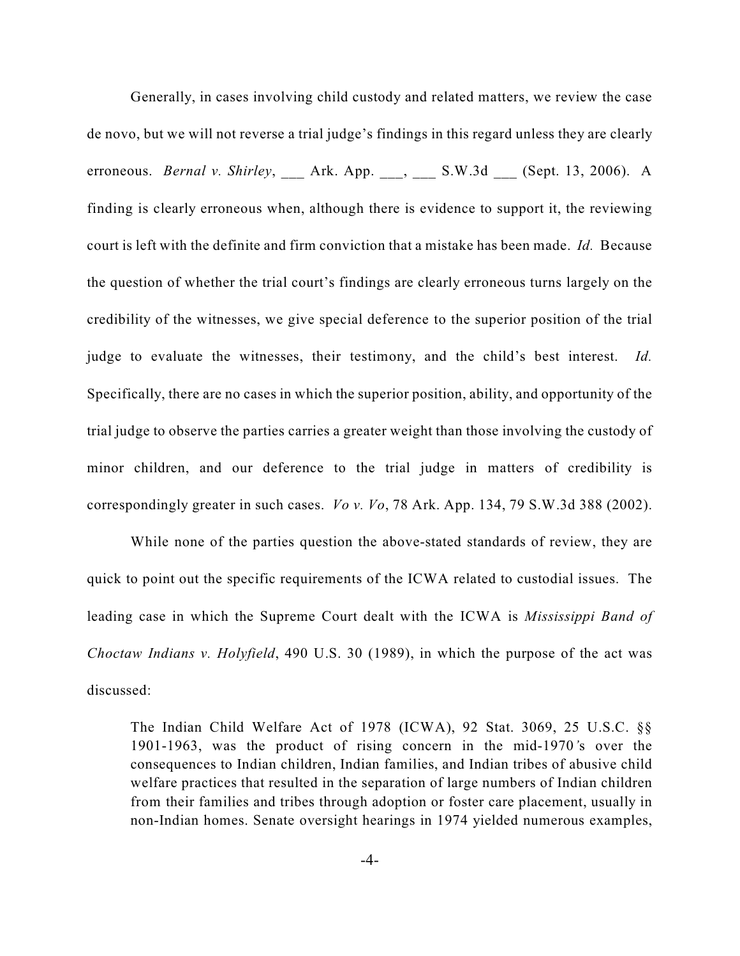Generally, in cases involving child custody and related matters, we review the case de novo, but we will not reverse a trial judge's findings in this regard unless they are clearly erroneous. *Bernal v. Shirley*, \_\_\_ Ark. App. \_\_\_, \_\_\_ S.W.3d \_\_\_ (Sept. 13, 2006). A finding is clearly erroneous when, although there is evidence to support it, the reviewing court is left with the definite and firm conviction that a mistake has been made. *Id.* Because the question of whether the trial court's findings are clearly erroneous turns largely on the credibility of the witnesses, we give special deference to the superior position of the trial judge to evaluate the witnesses, their testimony, and the child's best interest. *Id.* Specifically, there are no cases in which the superior position, ability, and opportunity of the trial judge to observe the parties carries a greater weight than those involving the custody of minor children, and our deference to the trial judge in matters of credibility is correspondingly greater in such cases. *Vo v. Vo*, 78 Ark. App. 134, 79 S.W.3d 388 (2002).

While none of the parties question the above-stated standards of review, they are quick to point out the specific requirements of the ICWA related to custodial issues. The leading case in which the Supreme Court dealt with the ICWA is *Mississippi Band of Choctaw Indians v. Holyfield*, 490 U.S. 30 (1989), in which the purpose of the act was discussed:

The Indian Child Welfare Act of 1978 (ICWA), 92 Stat. 3069, 25 U.S.C. §§ 1901-1963, was the product of rising concern in the mid-1970*'*s over the consequences to Indian children, Indian families, and Indian tribes of abusive child welfare practices that resulted in the separation of large numbers of Indian children from their families and tribes through adoption or foster care placement, usually in non-Indian homes. Senate oversight hearings in 1974 yielded numerous examples,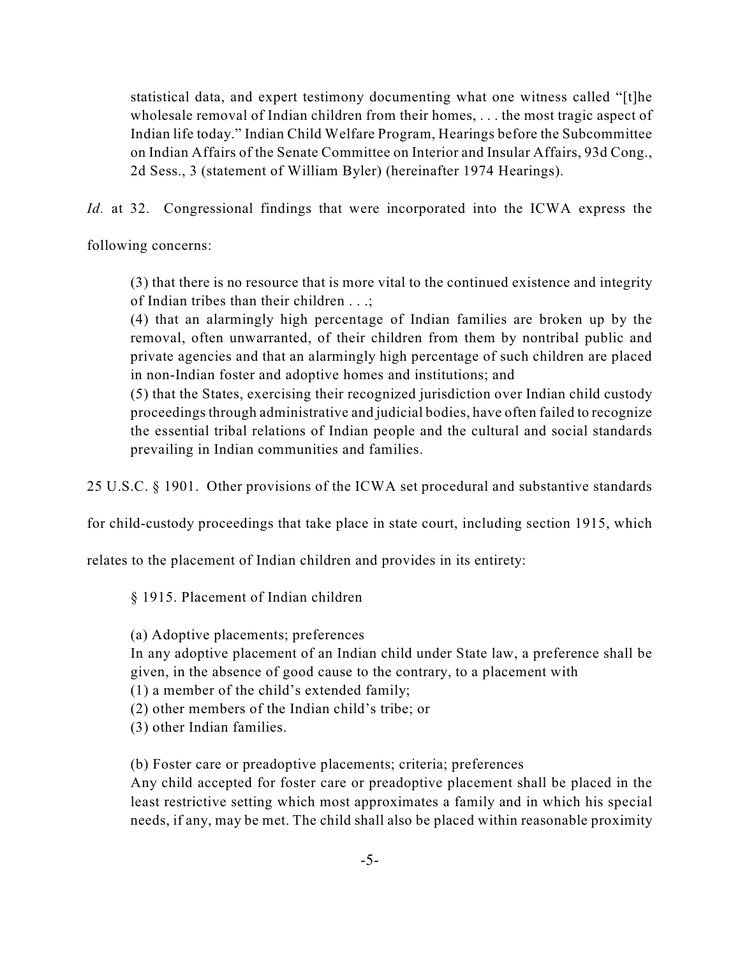statistical data, and expert testimony documenting what one witness called "[t]he wholesale removal of Indian children from their homes, . . . the most tragic aspect of Indian life today." Indian Child Welfare Program, Hearings before the Subcommittee on Indian Affairs of the Senate Committee on Interior and Insular Affairs, 93d Cong., 2d Sess., 3 (statement of William Byler) (hereinafter 1974 Hearings).

*Id.* at 32. Congressional findings that were incorporated into the ICWA express the

following concerns:

(3) that there is no resource that is more vital to the continued existence and integrity of Indian tribes than their children . . .;

(4) that an alarmingly high percentage of Indian families are broken up by the removal, often unwarranted, of their children from them by nontribal public and private agencies and that an alarmingly high percentage of such children are placed in non-Indian foster and adoptive homes and institutions; and

(5) that the States, exercising their recognized jurisdiction over Indian child custody proceedings through administrative and judicial bodies, have often failed to recognize the essential tribal relations of Indian people and the cultural and social standards prevailing in Indian communities and families.

25 U.S.C. § 1901. Other provisions of the ICWA set procedural and substantive standards

for child-custody proceedings that take place in state court, including section 1915, which

relates to the placement of Indian children and provides in its entirety:

§ 1915. Placement of Indian children

(a) Adoptive placements; preferences

In any adoptive placement of an Indian child under State law, a preference shall be given, in the absence of good cause to the contrary, to a placement with

(1) a member of the child's extended family;

(2) other members of the Indian child's tribe; or

(3) other Indian families.

(b) Foster care or preadoptive placements; criteria; preferences

Any child accepted for foster care or preadoptive placement shall be placed in the least restrictive setting which most approximates a family and in which his special needs, if any, may be met. The child shall also be placed within reasonable proximity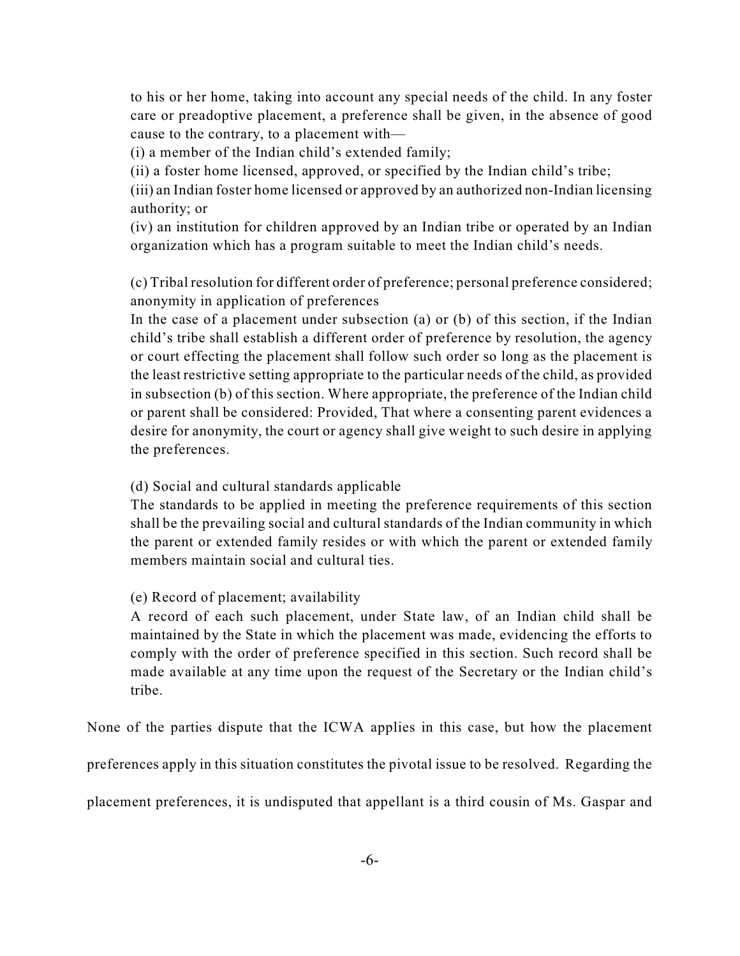to his or her home, taking into account any special needs of the child. In any foster care or preadoptive placement, a preference shall be given, in the absence of good cause to the contrary, to a placement with—

(i) a member of the Indian child's extended family;

(ii) a foster home licensed, approved, or specified by the Indian child's tribe;

(iii) an Indian foster home licensed or approved by an authorized non-Indian licensing authority; or

(iv) an institution for children approved by an Indian tribe or operated by an Indian organization which has a program suitable to meet the Indian child's needs.

(c) Tribal resolution for different order of preference; personal preference considered; anonymity in application of preferences

In the case of a placement under subsection (a) or (b) of this section, if the Indian child's tribe shall establish a different order of preference by resolution, the agency or court effecting the placement shall follow such order so long as the placement is the least restrictive setting appropriate to the particular needs of the child, as provided in subsection (b) of this section. Where appropriate, the preference of the Indian child or parent shall be considered: Provided, That where a consenting parent evidences a desire for anonymity, the court or agency shall give weight to such desire in applying the preferences.

(d) Social and cultural standards applicable

The standards to be applied in meeting the preference requirements of this section shall be the prevailing social and cultural standards of the Indian community in which the parent or extended family resides or with which the parent or extended family members maintain social and cultural ties.

(e) Record of placement; availability

A record of each such placement, under State law, of an Indian child shall be maintained by the State in which the placement was made, evidencing the efforts to comply with the order of preference specified in this section. Such record shall be made available at any time upon the request of the Secretary or the Indian child's tribe.

None of the parties dispute that the ICWA applies in this case, but how the placement

preferences apply in this situation constitutes the pivotal issue to be resolved. Regarding the

placement preferences, it is undisputed that appellant is a third cousin of Ms. Gaspar and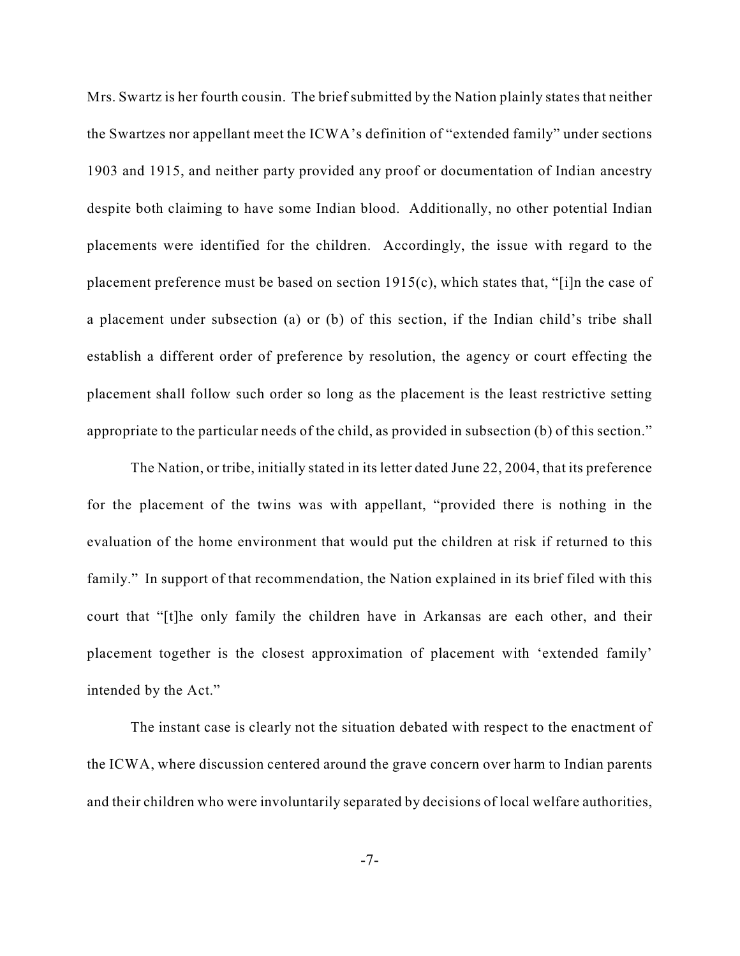Mrs. Swartz is her fourth cousin. The brief submitted by the Nation plainly states that neither the Swartzes nor appellant meet the ICWA's definition of "extended family" under sections 1903 and 1915, and neither party provided any proof or documentation of Indian ancestry despite both claiming to have some Indian blood. Additionally, no other potential Indian placements were identified for the children. Accordingly, the issue with regard to the placement preference must be based on section 1915(c), which states that, "[i]n the case of a placement under subsection (a) or (b) of this section, if the Indian child's tribe shall establish a different order of preference by resolution, the agency or court effecting the placement shall follow such order so long as the placement is the least restrictive setting appropriate to the particular needs of the child, as provided in subsection (b) of this section."

The Nation, or tribe, initially stated in its letter dated June 22, 2004, that its preference for the placement of the twins was with appellant, "provided there is nothing in the evaluation of the home environment that would put the children at risk if returned to this family." In support of that recommendation, the Nation explained in its brief filed with this court that "[t]he only family the children have in Arkansas are each other, and their placement together is the closest approximation of placement with 'extended family' intended by the Act."

The instant case is clearly not the situation debated with respect to the enactment of the ICWA, where discussion centered around the grave concern over harm to Indian parents and their children who were involuntarily separated by decisions of local welfare authorities,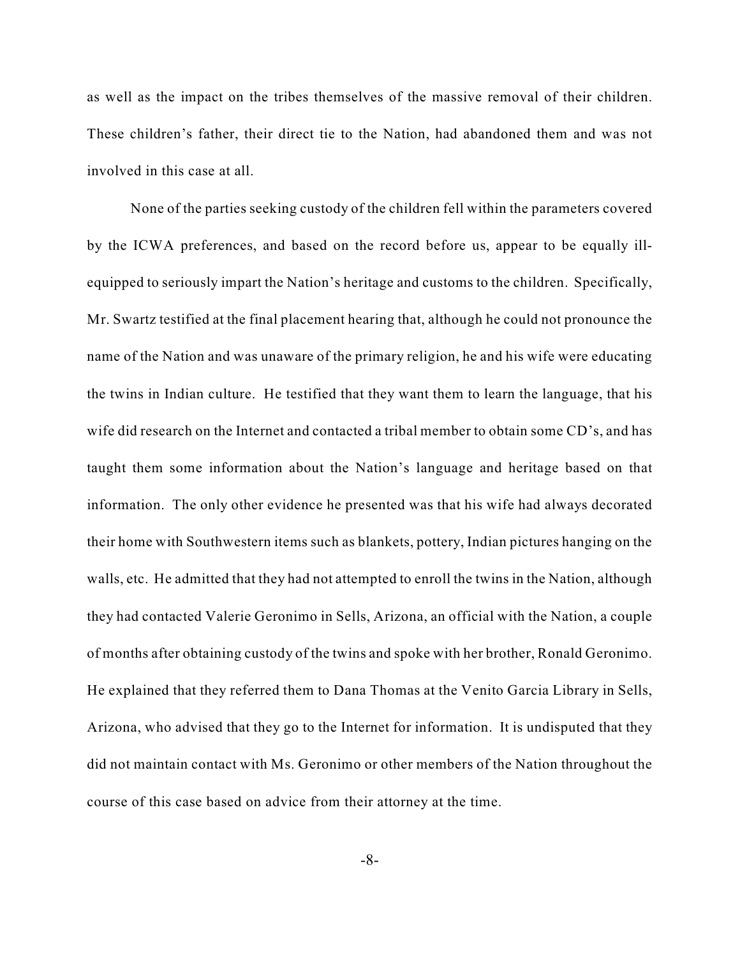as well as the impact on the tribes themselves of the massive removal of their children. These children's father, their direct tie to the Nation, had abandoned them and was not involved in this case at all.

None of the parties seeking custody of the children fell within the parameters covered by the ICWA preferences, and based on the record before us, appear to be equally illequipped to seriously impart the Nation's heritage and customs to the children. Specifically, Mr. Swartz testified at the final placement hearing that, although he could not pronounce the name of the Nation and was unaware of the primary religion, he and his wife were educating the twins in Indian culture. He testified that they want them to learn the language, that his wife did research on the Internet and contacted a tribal member to obtain some CD's, and has taught them some information about the Nation's language and heritage based on that information. The only other evidence he presented was that his wife had always decorated their home with Southwestern items such as blankets, pottery, Indian pictures hanging on the walls, etc. He admitted that they had not attempted to enroll the twins in the Nation, although they had contacted Valerie Geronimo in Sells, Arizona, an official with the Nation, a couple of months after obtaining custody of the twins and spoke with her brother, Ronald Geronimo. He explained that they referred them to Dana Thomas at the Venito Garcia Library in Sells, Arizona, who advised that they go to the Internet for information. It is undisputed that they did not maintain contact with Ms. Geronimo or other members of the Nation throughout the course of this case based on advice from their attorney at the time.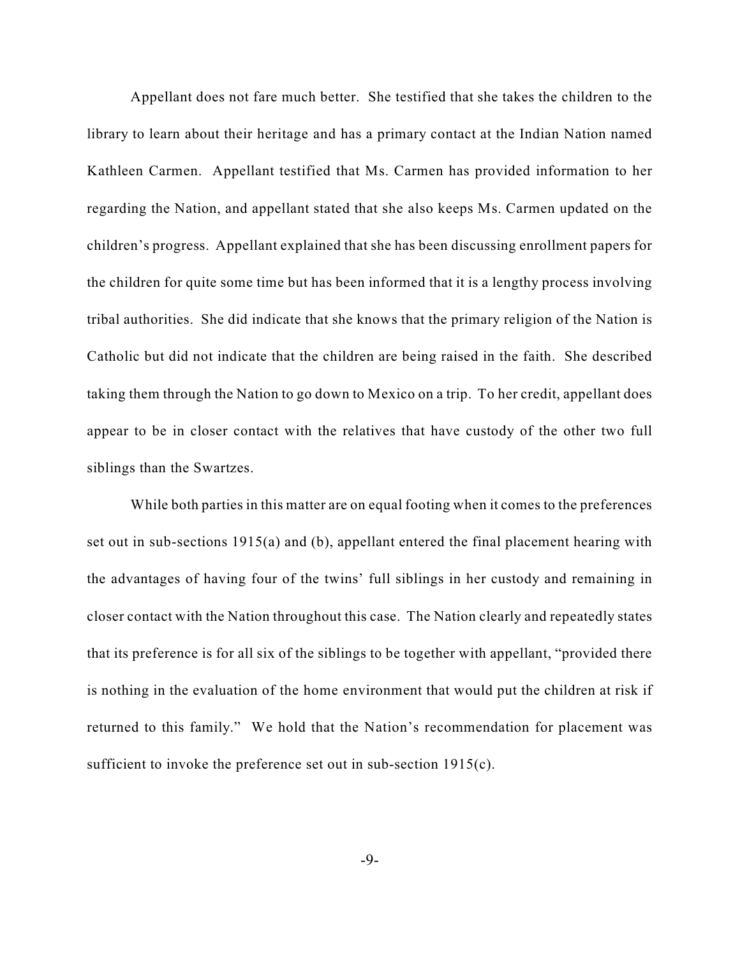Appellant does not fare much better. She testified that she takes the children to the library to learn about their heritage and has a primary contact at the Indian Nation named Kathleen Carmen. Appellant testified that Ms. Carmen has provided information to her regarding the Nation, and appellant stated that she also keeps Ms. Carmen updated on the children's progress. Appellant explained that she has been discussing enrollment papers for the children for quite some time but has been informed that it is a lengthy process involving tribal authorities. She did indicate that she knows that the primary religion of the Nation is Catholic but did not indicate that the children are being raised in the faith. She described taking them through the Nation to go down to Mexico on a trip. To her credit, appellant does appear to be in closer contact with the relatives that have custody of the other two full siblings than the Swartzes.

While both parties in this matter are on equal footing when it comes to the preferences set out in sub-sections 1915(a) and (b), appellant entered the final placement hearing with the advantages of having four of the twins' full siblings in her custody and remaining in closer contact with the Nation throughout this case. The Nation clearly and repeatedly states that its preference is for all six of the siblings to be together with appellant, "provided there is nothing in the evaluation of the home environment that would put the children at risk if returned to this family." We hold that the Nation's recommendation for placement was sufficient to invoke the preference set out in sub-section 1915(c).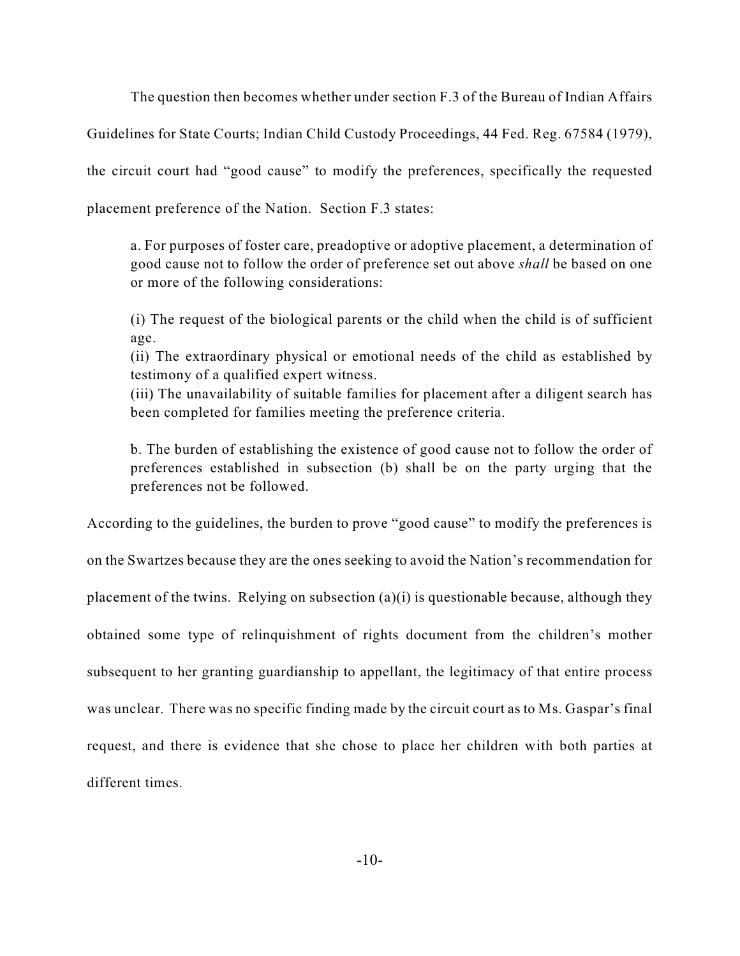The question then becomes whether under section F.3 of the Bureau of Indian Affairs

Guidelines for State Courts; Indian Child Custody Proceedings, 44 Fed. Reg. 67584 (1979),

the circuit court had "good cause" to modify the preferences, specifically the requested

placement preference of the Nation. Section F.3 states:

a. For purposes of foster care, preadoptive or adoptive placement, a determination of good cause not to follow the order of preference set out above *shall* be based on one or more of the following considerations:

(i) The request of the biological parents or the child when the child is of sufficient age.

(ii) The extraordinary physical or emotional needs of the child as established by testimony of a qualified expert witness.

(iii) The unavailability of suitable families for placement after a diligent search has been completed for families meeting the preference criteria.

b. The burden of establishing the existence of good cause not to follow the order of preferences established in subsection (b) shall be on the party urging that the preferences not be followed.

According to the guidelines, the burden to prove "good cause" to modify the preferences is

on the Swartzes because they are the ones seeking to avoid the Nation's recommendation for placement of the twins. Relying on subsection (a)(i) is questionable because, although they obtained some type of relinquishment of rights document from the children's mother subsequent to her granting guardianship to appellant, the legitimacy of that entire process was unclear. There was no specific finding made by the circuit court as to Ms. Gaspar's final request, and there is evidence that she chose to place her children with both parties at different times.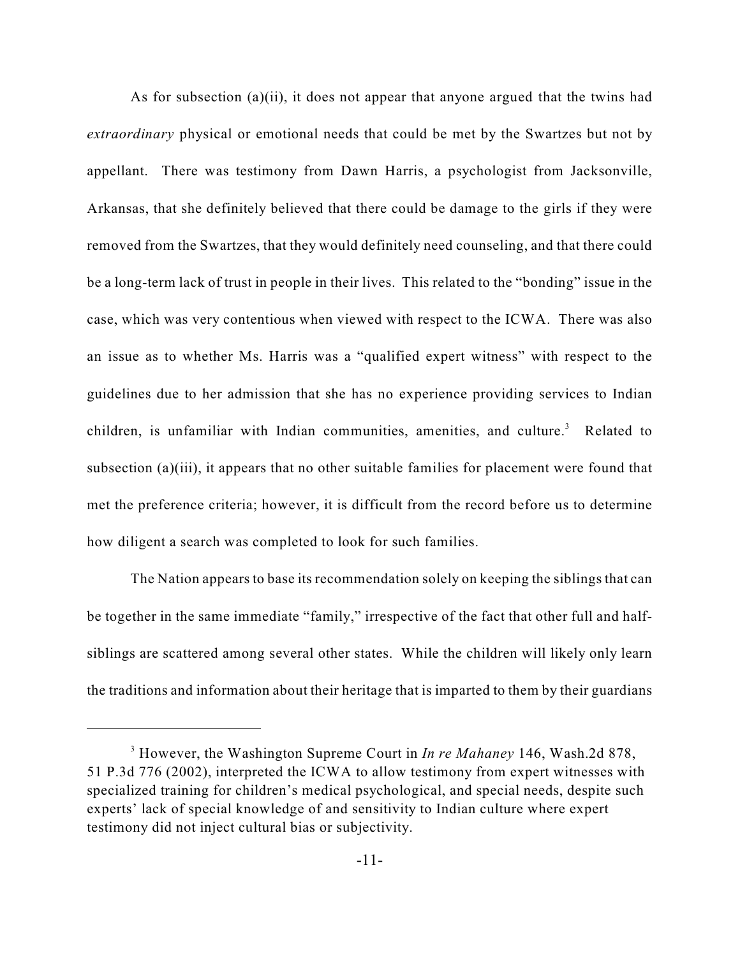As for subsection (a)(ii), it does not appear that anyone argued that the twins had *extraordinary* physical or emotional needs that could be met by the Swartzes but not by appellant. There was testimony from Dawn Harris, a psychologist from Jacksonville, Arkansas, that she definitely believed that there could be damage to the girls if they were removed from the Swartzes, that they would definitely need counseling, and that there could be a long-term lack of trust in people in their lives. This related to the "bonding" issue in the case, which was very contentious when viewed with respect to the ICWA. There was also an issue as to whether Ms. Harris was a "qualified expert witness" with respect to the guidelines due to her admission that she has no experience providing services to Indian children, is unfamiliar with Indian communities, amenities, and culture.<sup>3</sup> Related to subsection (a)(iii), it appears that no other suitable families for placement were found that met the preference criteria; however, it is difficult from the record before us to determine how diligent a search was completed to look for such families.

The Nation appears to base its recommendation solely on keeping the siblings that can be together in the same immediate "family," irrespective of the fact that other full and halfsiblings are scattered among several other states. While the children will likely only learn the traditions and information about their heritage that is imparted to them by their guardians

<sup>&</sup>lt;sup>3</sup> However, the Washington Supreme Court in *In re Mahaney* 146, Wash.2d 878, 51 P.3d 776 (2002), interpreted the ICWA to allow testimony from expert witnesses with specialized training for children's medical psychological, and special needs, despite such experts' lack of special knowledge of and sensitivity to Indian culture where expert testimony did not inject cultural bias or subjectivity.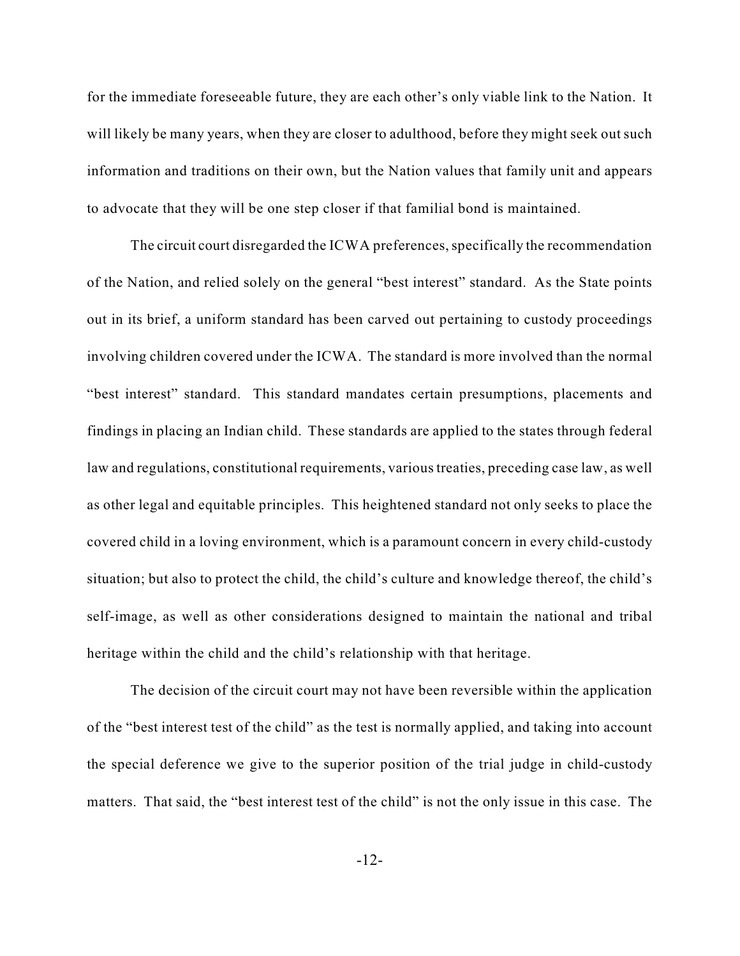for the immediate foreseeable future, they are each other's only viable link to the Nation. It will likely be many years, when they are closer to adulthood, before they might seek out such information and traditions on their own, but the Nation values that family unit and appears to advocate that they will be one step closer if that familial bond is maintained.

The circuit court disregarded the ICWA preferences, specifically the recommendation of the Nation, and relied solely on the general "best interest" standard. As the State points out in its brief, a uniform standard has been carved out pertaining to custody proceedings involving children covered under the ICWA. The standard is more involved than the normal "best interest" standard. This standard mandates certain presumptions, placements and findings in placing an Indian child. These standards are applied to the states through federal law and regulations, constitutional requirements, various treaties, preceding case law, as well as other legal and equitable principles. This heightened standard not only seeks to place the covered child in a loving environment, which is a paramount concern in every child-custody situation; but also to protect the child, the child's culture and knowledge thereof, the child's self-image, as well as other considerations designed to maintain the national and tribal heritage within the child and the child's relationship with that heritage.

The decision of the circuit court may not have been reversible within the application of the "best interest test of the child" as the test is normally applied, and taking into account the special deference we give to the superior position of the trial judge in child-custody matters. That said, the "best interest test of the child" is not the only issue in this case. The